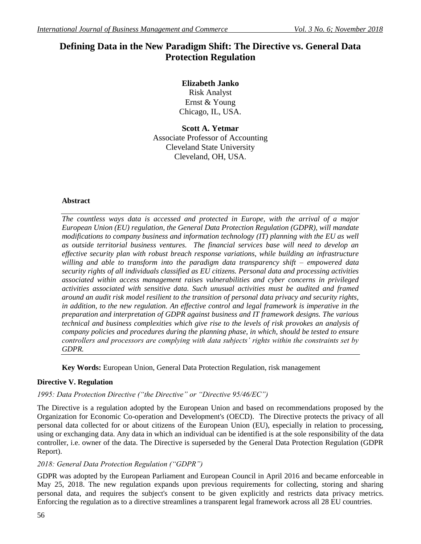# **Defining Data in the New Paradigm Shift: The Directive vs. General Data Protection Regulation**

## **Elizabeth Janko**

Risk Analyst Ernst & Young Chicago, IL, USA.

**Scott A. Yetmar** Associate Professor of Accounting Cleveland State University Cleveland, OH, USA.

## **Abstract**

*The countless ways data is accessed and protected in Europe, with the arrival of a major European Union (EU) regulation, the General Data Protection Regulation (GDPR), will mandate modifications to company business and information technology (IT) planning with the EU as well as outside territorial business ventures. The financial services base will need to develop an effective security plan with robust breach response variations, while building an infrastructure willing and able to transform into the paradigm data transparency shift – empowered data security rights of all individuals classified as EU citizens. Personal data and processing activities associated within access management raises vulnerabilities and cyber concerns in privileged activities associated with sensitive data. Such unusual activities must be audited and framed around an audit risk model resilient to the transition of personal data privacy and security rights, in addition, to the new regulation. An effective control and legal framework is imperative in the preparation and interpretation of GDPR against business and IT framework designs. The various technical and business complexities which give rise to the levels of risk provokes an analysis of company policies and procedures during the planning phase, in which, should be tested to ensure controllers and processors are complying with data subjects' rights within the constraints set by GDPR.*

**Key Words:** European Union, General Data Protection Regulation, risk management

## **Directive V. Regulation**

## *1995: Data Protection Directive ("the Directive" or "Directive 95/46/EC")*

The Directive is a regulation adopted by the European Union and based on recommendations proposed by the Organization for Economic Co-operation and Development's (OECD). The Directive protects the privacy of all personal data collected for or about citizens of the European Union (EU), especially in relation to processing, using or exchanging data. Any data in which an individual can be identified is at the sole responsibility of the data controller, i.e. owner of the data. The Directive is superseded by the General Data Protection Regulation (GDPR Report).

## *2018: General Data Protection Regulation ("GDPR")*

GDPR was adopted by the European Parliament and European Council in April 2016 and became enforceable in May 25, 2018. The new regulation expands upon previous requirements for collecting, storing and sharing personal data, and requires the subject's consent to be given explicitly and restricts data privacy metrics. Enforcing the regulation as to a directive streamlines a transparent legal framework across all 28 EU countries.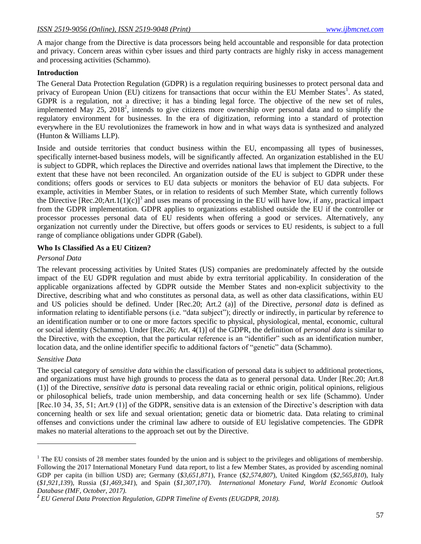A major change from the Directive is data processors being held accountable and responsible for data protection and privacy. Concern areas within cyber issues and third party contracts are highly risky in access management and processing activities (Schammo).

#### **Introduction**

The General Data Protection Regulation (GDPR) is a regulation requiring businesses to protect personal data and privacy of European Union (EU) citizens for transactions that occur within the EU Member States<sup>1</sup>. As stated, GDPR is a regulation, not a directive; it has a binding legal force. The objective of the new set of rules, implemented May 25, 2018<sup>2</sup>, intends to give citizens more ownership over personal data and to simplify the regulatory environment for businesses. In the era of digitization, reforming into a standard of protection everywhere in the EU revolutionizes the framework in how and in what ways data is synthesized and analyzed (Hunton & Williams LLP).

Inside and outside territories that conduct business within the EU, encompassing all types of businesses, specifically internet-based business models, will be significantly affected. An organization established in the EU is subject to GDPR, which replaces the Directive and overrides national laws that implement the Directive, to the extent that these have not been reconciled. An organization outside of the EU is subject to GDPR under these conditions; offers goods or services to EU data subjects or monitors the behavior of EU data subjects. For example, activities in Member States, or in relation to residents of such Member State, which currently follows the Directive  $[Rec.20; Art.1(1)(c)]^3$  and uses means of processing in the EU will have low, if any, practical impact from the GDPR implementation. GDPR applies to organizations established outside the EU if the controller or processor processes personal data of EU residents when offering a good or services. Alternatively, any organization not currently under the Directive, but offers goods or services to EU residents, is subject to a full range of compliance obligations under GDPR (Gabel).

### **Who Is Classified As a EU Citizen?**

#### *Personal Data*

The relevant processing activities by United States (US) companies are predominately affected by the outside impact of the EU GDPR regulation and must abide by extra territorial applicability. In consideration of the applicable organizations affected by GDPR outside the Member States and non-explicit subjectivity to the Directive, describing what and who constitutes as personal data, as well as other data classifications, within EU and US policies should be defined. Under [Rec.20; Art.2 (a)] of the Directive, *personal data* is defined as information relating to identifiable persons (i.e. "data subject"); directly or indirectly, in particular by reference to an identification number or to one or more factors specific to physical, physiological, mental, economic, cultural or social identity (Schammo). Under [Rec.26; Art. 4(1)] of the GDPR, the definition of *personal data* is similar to the Directive, with the exception, that the particular reference is an "identifier" such as an identification number, location data, and the online identifier specific to additional factors of "genetic" data (Schammo).

#### *Sensitive Data*

l

The special category of *sensitive data* within the classification of personal data is subject to additional protections, and organizations must have high grounds to process the data as to general personal data. Under [Rec.20; Art.8 (1)] of the Directive, *sensitive data* is personal data revealing racial or ethnic origin, political opinions, religious or philosophical beliefs, trade union membership, and data concerning health or sex life (Schammo). Under [Rec.10 34, 35, 51; Art.9 (1)] of the GDPR, sensitive data is an extension of the Directive"s description with data concerning health or sex life and sexual orientation; genetic data or biometric data. Data relating to criminal offenses and convictions under the criminal law adhere to outside of EU legislative competencies. The GDPR makes no material alterations to the approach set out by the Directive.

<sup>&</sup>lt;sup>1</sup> The EU consists of 28 member states founded by the union and is subject to the privileges and obligations of membership. Following the 2017 International Monetary Fund data report, to list a few Member States, as provided by ascending nominal GDP per capita (in billion USD) are; Germany (*\$3,651,871*), France (*\$2,574,807*), United Kingdom (*\$2,565,810*), Italy (*\$1,921,139*), Russia (*\$1,469,341*), and Spain (*\$1,307,170*). *International Monetary Fund, World Economic Outlook Database (IMF, October, 2017).*

*<sup>2</sup> EU General Data Protection Regulation, GDPR Timeline of Events (EUGDPR, 2018).*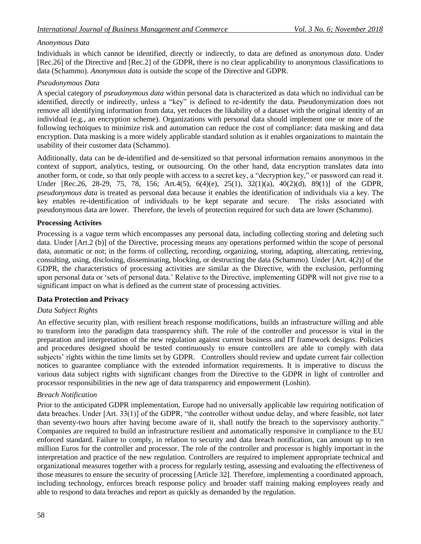## *Anonymous Data*

Individuals in which cannot be identified, directly or indirectly, to data are defined as *anonymous data*. Under [Rec.26] of the Directive and [Rec.2] of the GDPR, there is no clear applicability to anonymous classifications to data (Schammo). *Anonymous data* is outside the scope of the Directive and GDPR.

## *Pseudonymous Data*

A special category of *pseudonymous data* within personal data is characterized as data which no individual can be identified, directly or indirectly, unless a "key" is defined to re-identify the data. Pseudonymization does not remove all identifying information from data, yet reduces the likability of a dataset with the original identity of an individual (e.g., an encryption scheme). Organizations with personal data should implement one or more of the following techniques to minimize risk and automation can reduce the cost of compliance: data masking and data encryption. Data masking is a more widely applicable standard solution as it enables organizations to maintain the usability of their customer data (Schammo).

Additionally, data can be de-identified and de-sensitized so that personal information remains anonymous in the context of support, analytics, testing, or outsourcing. On the other hand, data encryption translates data into another form, or code, so that only people with access to a secret key, a "decryption key," or password can read it. Under [Rec.26, 28-29, 75, 78, 156; Art.4(5), 6(4)(e), 25(1), 32(1)(a), 40(2)(d), 89(1)] of the GDPR, *pseudonymous data* is treated as personal data because it enables the identification of individuals via a key. The key enables re-identification of individuals to be kept separate and secure. The risks associated with pseudonymous data are lower. Therefore, the levels of protection required for such data are lower (Schammo).

## **Processing Activites**

Processing is a vague term which encompasses any personal data, including collecting storing and deleting such data. Under [Art.2 (b)] of the Directive, processing means any operations performed within the scope of personal data, automatic or not; in the forms of collecting, recording, organizing, storing, adapting, altercating, retrieving, consulting, using, disclosing, disseminating, blocking, or destructing the data (Schammo). Under [Art. 4(2)] of the GDPR, the characteristics of processing activities are similar as the Directive, with the exclusion, performing upon personal data or "sets of personal data." Relative to the Directive, implementing GDPR will not give rise to a significant impact on what is defined as the current state of processing activities.

#### **Data Protection and Privacy**

## *Data Subject Rights*

An effective security plan, with resilient breach response modifications, builds an infrastructure willing and able to transform into the paradigm data transparency shift. The role of the controller and processor is vital in the preparation and interpretation of the new regulation against current business and IT framework designs. Policies and procedures designed should be tested continuously to ensure controllers are able to comply with data subjects' rights within the time limits set by GDPR. Controllers should review and update current fair collection notices to guarantee compliance with the extended information requirements. It is imperative to discuss the various data subject rights with significant changes from the Directive to the GDPR in light of controller and processor responsibilities in the new age of data transparency and empowerment (Loshin).

#### *Breach Notification*

Prior to the anticipated GDPR implementation, Europe had no universally applicable law requiring notification of data breaches. Under [Art. 33(1)] of the GDPR, "the controller without undue delay, and where feasible, not later than seventy-two hours after having become aware of it, shall notify the breach to the supervisory authority." Companies are required to build an infrastructure resilient and automatically responsive in compliance to the EU enforced standard. Failure to comply, in relation to security and data breach notification, can amount up to ten million Euros for the controller and processor. The role of the controller and processor is highly important in the interpretation and practice of the new regulation. Controllers are required to implement appropriate technical and organizational measures together with a process for regularly testing, assessing and evaluating the effectiveness of those measures to ensure the security of processing [Article 32]. Therefore, implementing a coordinated approach, including technology, enforces breach response policy and broader staff training making employees ready and able to respond to data breaches and report as quickly as demanded by the regulation.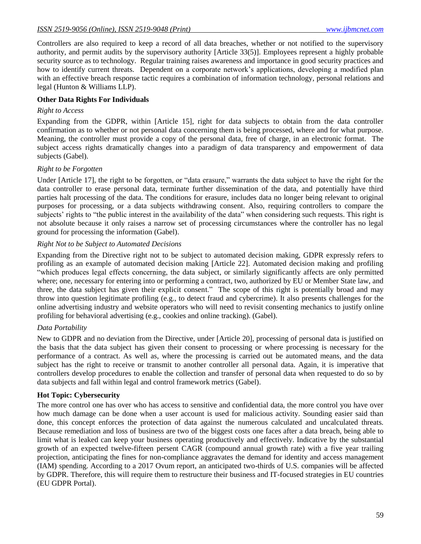Controllers are also required to keep a record of all data breaches, whether or not notified to the supervisory authority, and permit audits by the supervisory authority [Article 33(5)]. Employees represent a highly probable security source as to technology. Regular training raises awareness and importance in good security practices and how to identify current threats. Dependent on a corporate network's applications, developing a modified plan with an effective breach response tactic requires a combination of information technology, personal relations and legal (Hunton & Williams LLP).

### **Other Data Rights For Individuals**

#### *Right to Access*

Expanding from the GDPR, within [Article 15], right for data subjects to obtain from the data controller confirmation as to whether or not personal data concerning them is being processed, where and for what purpose. Meaning, the controller must provide a copy of the personal data, free of charge, in an electronic format. The subject access rights dramatically changes into a paradigm of data transparency and empowerment of data subjects (Gabel).

#### *Right to be Forgotten*

Under [Article 17], the right to be forgotten, or "data erasure," warrants the data subject to have the right for the data controller to erase personal data, terminate further dissemination of the data, and potentially have third parties halt processing of the data. The conditions for erasure, includes data no longer being relevant to original purposes for processing, or a data subjects withdrawing consent. Also, requiring controllers to compare the subjects' rights to "the public interest in the availability of the data" when considering such requests. This right is not absolute because it only raises a narrow set of processing circumstances where the controller has no legal ground for processing the information (Gabel).

#### *Right Not to be Subject to Automated Decisions*

Expanding from the Directive right not to be subject to automated decision making, GDPR expressly refers to profiling as an example of automated decision making [Article 22]. Automated decision making and profiling "which produces legal effects concerning, the data subject, or similarly significantly affects are only permitted where; one, necessary for entering into or performing a contract, two, authorized by EU or Member State law, and three, the data subject has given their explicit consent." The scope of this right is potentially broad and may throw into question legitimate profiling (e.g., to detect fraud and cybercrime). It also presents challenges for the online advertising industry and website operators who will need to revisit consenting mechanics to justify online profiling for behavioral advertising (e.g., cookies and online tracking). (Gabel).

#### *Data Portability*

New to GDPR and no deviation from the Directive, under [Article 20], processing of personal data is justified on the basis that the data subject has given their consent to processing or where processing is necessary for the performance of a contract. As well as, where the processing is carried out be automated means, and the data subject has the right to receive or transmit to another controller all personal data. Again, it is imperative that controllers develop procedures to enable the collection and transfer of personal data when requested to do so by data subjects and fall within legal and control framework metrics (Gabel).

#### **Hot Topic: Cybersecurity**

The more control one has over who has access to sensitive and confidential data, the more control you have over how much damage can be done when a user account is used for malicious activity. Sounding easier said than done, this concept enforces the protection of data against the numerous calculated and uncalculated threats. Because remediation and loss of business are two of the biggest costs one faces after a data breach, being able to limit what is leaked can keep your business operating productively and effectively. Indicative by the substantial growth of an expected twelve-fifteen persent CAGR (compound annual growth rate) with a five year trailing projection, anticipating the fines for non-compliance aggravates the demand for identity and access management (IAM) spending. According to a 2017 Ovum report, an anticipated two-thirds of U.S. companies will be affected by GDPR. Therefore, this will require them to restructure their business and IT-focused strategies in EU countries (EU GDPR Portal).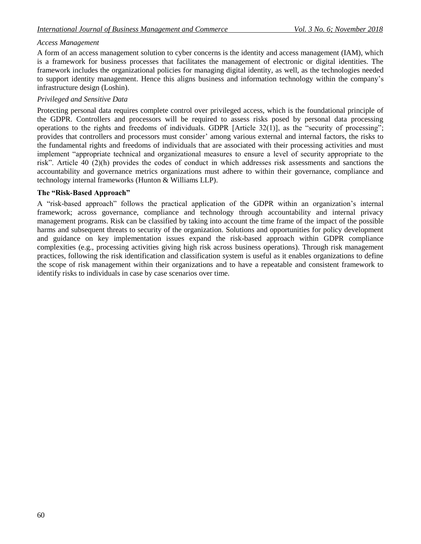### *Access Management*

A form of an access management solution to cyber concerns is the identity and access management (IAM), which is a framework for business processes that facilitates the management of electronic or digital identities. The framework includes the organizational policies for managing digital identity, as well, as the technologies needed to support identity management. Hence this aligns business and information technology within the company"s infrastructure design (Loshin).

### *Privileged and Sensitive Data*

Protecting personal data requires complete control over privileged access, which is the foundational principle of the GDPR. Controllers and processors will be required to assess risks posed by personal data processing operations to the rights and freedoms of individuals. GDPR [Article 32(1)], as the "security of processing"; provides that controllers and processors must consider" among various external and internal factors, the risks to the fundamental rights and freedoms of individuals that are associated with their processing activities and must implement "appropriate technical and organizational measures to ensure a level of security appropriate to the risk". Article 40 (2)(h) provides the codes of conduct in which addresses risk assessments and sanctions the accountability and governance metrics organizations must adhere to within their governance, compliance and technology internal frameworks (Hunton & Williams LLP).

### **The "Risk-Based Approach"**

A "risk-based approach" follows the practical application of the GDPR within an organization"s internal framework; across governance, compliance and technology through accountability and internal privacy management programs. Risk can be classified by taking into account the time frame of the impact of the possible harms and subsequent threats to security of the organization. Solutions and opportunities for policy development and guidance on key implementation issues expand the risk-based approach within GDPR compliance complexities (e.g., processing activities giving high risk across business operations). Through risk management practices, following the risk identification and classification system is useful as it enables organizations to define the scope of risk management within their organizations and to have a repeatable and consistent framework to identify risks to individuals in case by case scenarios over time.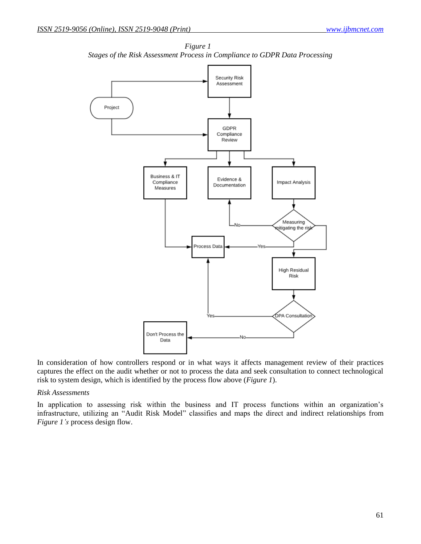

*Figure 1 Stages of the Risk Assessment Process in Compliance to GDPR Data Processing*

In consideration of how controllers respond or in what ways it affects management review of their practices captures the effect on the audit whether or not to process the data and seek consultation to connect technological risk to system design, which is identified by the process flow above (*Figure 1*).

#### *Risk Assessments*

In application to assessing risk within the business and IT process functions within an organization's infrastructure, utilizing an "Audit Risk Model" classifies and maps the direct and indirect relationships from *Figure 1's* process design flow.